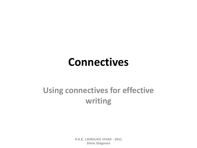### **Connectives**

### **Using connectives for effective writing**

**P.A.E. LENGUAS VIVAS - 2011 Silvia Stagnaro**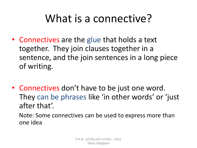## What is a connective?

- Connectives are the glue that holds a text together. They join clauses together in a sentence, and the join sentences in a long piece of writing.
- Connectives don't have to be just one word. They can be phrases like 'in other words' or 'just after that'.

Note: Some connectives can be used to express more than one idea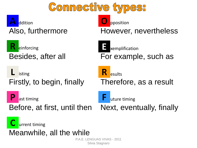

**R**

**FNGUAS VIVAS - 2011** Silvia Stagnaro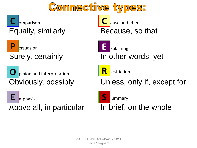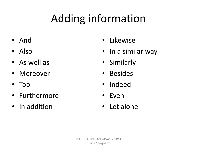# Adding information

- And
- Also
- As well as
- Moreover
- Too
- Furthermore
- In addition
- Likewise
- In a similar way
- Similarly
- Besides
- Indeed
- Even
- Let alone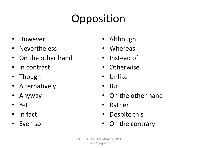# Opposition

- However
- Nevertheless
- On the other hand
- In contrast
- Though
- Alternatively
- Anyway
- Yet
- In fact
- Even so
- Although
- **Whereas**
- Instead of
- Otherwise
- Unlike
- But
- On the other hand
- Rather
- Despite this
- On the contrary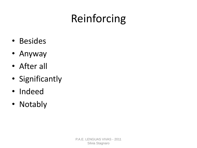# Reinforcing

- Besides
- Anyway
- After all
- Significantly
- Indeed
- Notably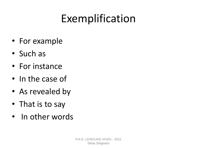# Exemplification

- For example
- Such as
- For instance
- In the case of
- As revealed by
- That is to say
- In other words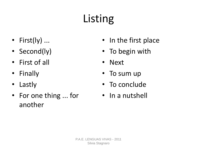# Listing

- First(ly) ...
- Second(ly)
- First of all
- Finally
- Lastly
- For one thing ... for another
- In the first place
- To begin with
- Next
- To sum up
- To conclude
- In a nutshell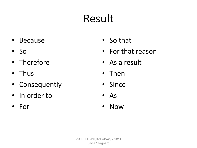# Result

- Because
- So
- Therefore
- Thus
- Consequently
- In order to
- For
- So that
- For that reason
- As a result
- Then
- Since
- As
- Now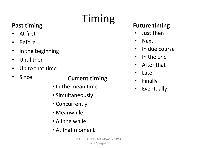# Timing

### **Past timing**

- At first
- Before
- In the beginning
- Until then
- Up to that time
- Since

### **Current timing**

- In the mean time
- Simultaneously
- Concurrently
- Meanwhile
- All the while
- At that moment

### **Future timing**

- Just then
- Next
- In due course
- In the end
- After that
- Later
- Finally
- Eventually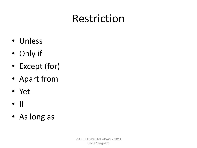## Restriction

- Unless
- Only if
- Except (for)
- Apart from
- Yet
- If
- As long as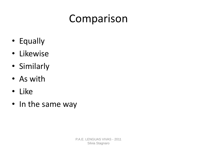## Comparison

- Equally
- Likewise
- Similarly
- As with
- Like
- In the same way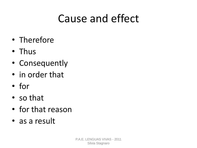## Cause and effect

- Therefore
- Thus
- Consequently
- in order that
- for
- so that
- for that reason
- as a result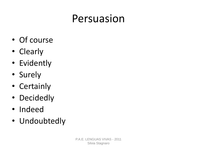## Persuasion

- Of course
- Clearly
- Evidently
- Surely
- Certainly
- Decidedly
- Indeed
- Undoubtedly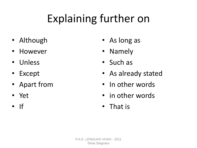# Explaining further on

- Although
- However
- Unless
- Except
- Apart from
- Yet
- If
- As long as
- Namely
- Such as
- As already stated
- In other words
- in other words
- That is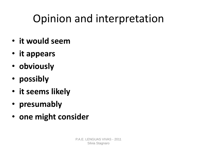# Opinion and interpretation

- **it would seem**
- **it appears**
- **obviously**
- **possibly**
- **it seems likely**
- **presumably**
- **one might consider**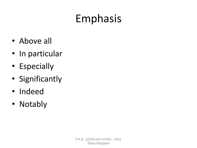# Emphasis

- Above all
- In particular
- Especially
- Significantly
- Indeed
- Notably